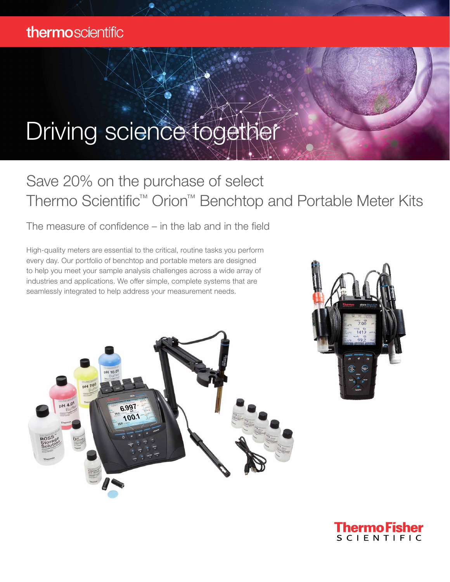## Driving science together

## Save 20% on the purchase of select Thermo Scientific™ Orion™ Benchtop and Portable Meter Kits

The measure of confidence – in the lab and in the field

High-quality meters are essential to the critical, routine tasks you perform every day. Our portfolio of benchtop and portable meters are designed to help you meet your sample analysis challenges across a wide array of industries and applications. We offer simple, complete systems that are seamlessly integrated to help address your measurement needs.